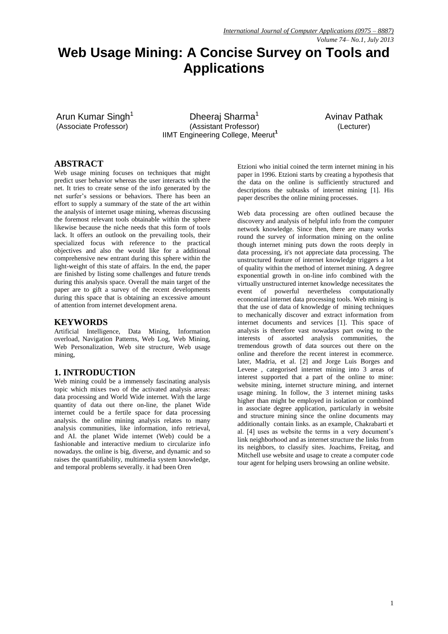#### *Volume 74– No.1, July 2013*

# **Web Usage Mining: A Concise Survey on Tools and Applications**

Arun Kumar Singh<sup>1</sup>

Dheeraj Sharma<sup>1</sup> Avinav Pathak (Associate Professor) (Assistant Professor) (Lecturer) IIMT Engineering College, Meerut**<sup>1</sup>**

## **ABSTRACT**

Web usage mining focuses on techniques that might predict user behavior whereas the user interacts with the net. It tries to create sense of the info generated by the net surfer's sessions or behaviors. There has been an effort to supply a summary of the state of the art within the analysis of internet usage mining, whereas discussing the foremost relevant tools obtainable within the sphere likewise because the niche needs that this form of tools lack. It offers an outlook on the prevailing tools, their specialized focus with reference to the practical objectives and also the would like for a additional comprehensive new entrant during this sphere within the light-weight of this state of affairs. In the end, the paper are finished by listing some challenges and future trends during this analysis space. Overall the main target of the paper are to gift a survey of the recent developments during this space that is obtaining an excessive amount of attention from internet development arena.

#### **KEYWORDS**

Artificial Intelligence, Data Mining, Information overload, Navigation Patterns, Web Log, Web Mining, Web Personalization, Web site structure, Web usage mining,

#### **1. INTRODUCTION**

Web mining could be a immensely fascinating analysis topic which mixes two of the activated analysis areas: data processing and World Wide internet. With the large quantity of data out there on-line, the planet Wide internet could be a fertile space for data processing analysis. the online mining analysis relates to many analysis communities, like information, info retrieval, and AI. the planet Wide internet (Web) could be a fashionable and interactive medium to circularize info nowadays. the online is big, diverse, and dynamic and so raises the quantifiability, multimedia system knowledge, and temporal problems severally. it had been Oren

Etzioni who initial coined the term internet mining in his paper in 1996. Etzioni starts by creating a hypothesis that the data on the online is sufficiently structured and descriptions the subtasks of internet mining [1]. His paper describes the online mining processes.

Web data processing are often outlined because the discovery and analysis of helpful info from the computer network knowledge. Since then, there are many works round the survey of information mining on the online though internet mining puts down the roots deeply in data processing, it's not appreciate data processing. The unstructured feature of internet knowledge triggers a lot of quality within the method of internet mining. A degree exponential growth in on-line info combined with the virtually unstructured internet knowledge necessitates the event of powerful nevertheless computationally economical internet data processing tools. Web mining is that the use of data of knowledge of mining techniques to mechanically discover and extract information from internet documents and services [1]. This space of analysis is therefore vast nowadays part owing to the interests of assorted analysis communities, the tremendous growth of data sources out there on the online and therefore the recent interest in ecommerce. later, Madria, et al. [2] and Jorge Luis Borges and Levene , categorised internet mining into 3 areas of interest supported that a part of the online to mine: website mining, internet structure mining, and internet usage mining. In follow, the 3 internet mining tasks higher than might be employed in isolation or combined in associate degree application, particularly in website and structure mining since the online documents may additionally contain links. as an example, Chakrabarti et al. [4] uses as website the terms in a very document's link neighborhood and as internet structure the links from its neighbors, to classify sites. Joachims, Freitag, and Mitchell use website and usage to create a computer code tour agent for helping users browsing an online website.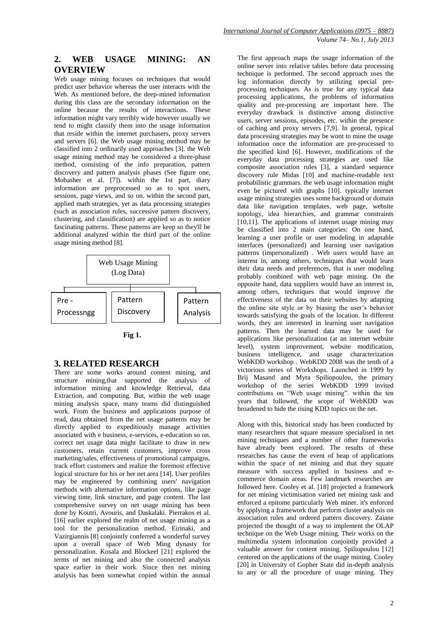# **2. WEB USAGE MINING: AN OVERVIEW**

Web usage mining focuses on techniques that would predict user behavior whereas the user interacts with the Web. As mentioned before, the deep-mined information during this class are the secondary information on the online because the results of interactions. These information might vary terribly wide however usually we tend to might classify them into the usage information that reside within the internet purchasers, proxy servers and servers [6]. the Web usage mining method may be classified into 2 ordinarily used approaches [3]. the Web usage mining method may be considered a three-phase method, consisting of the info preparation, pattern discovery and pattern analysis phases (See figure one, Mobasher et al. [7]). within the 1st part, diary information are preprocessed so as to spot users, sessions, page views, and so on. within the second part, applied math strategies, yet as data processing strategies (such as association rules, successive pattern discovery, clustering, and classification) are applied so as to notice fascinating patterns. These patterns are keep so they'll be additional analyzed within the third part of the online usage mining method [8].





## **3. RELATED RESEARCH**

There are some works around content mining, and structure mining,that supported the analysis of information mining and knowledge Retrieval, data Extraction, and computing. But, within the web usage mining analysis space, many teams did distinguished work. From the business and applications purpose of read, data obtained from the net usage patterns may be directly applied to expeditiously manage activities associated with e business, e-services, e-education so on. correct net usage data might facilitate to draw in new customers, retain current customers, improve cross marketing/sales, effectiveness of promotional campaigns, track effort customers and realize the foremost effective logical structure for his or her net area [14]. User profiles may be engineered by combining users' navigation methods with alternative information options, like page viewing time, link structure, and page content. The last comprehensive survey on net usage mining has been done by Koutri, Avouris, and Daskalaki. Pierrakos et al. [16] earlier explored the realm of net usage mining as a tool for the personalization method. Eirinaki, and Vazirgiannis [8] conjointly conferred a wonderful survey upon a overall space of Web Ming dynasty for personalization. Kosala and Blockeel [21] explored the terms of net mining and also the connected analysis space earlier in their work. Since then net mining analysis has been somewhat copied within the annual

The first approach maps the usage information of the online server into relative tables before data processing technique is performed. The second approach uses the log information directly by utilizing special preprocessing techniques. As is true for any typical data processing applications, the problems of information quality and pre-processing are important here. The everyday drawback is distinctive among distinctive users, server sessions, episodes, etc. within the presence of caching and proxy servers [7,9]. In general, typical data processing strategies may be wont to mine the usage information once the information are pre-processed to the specified kind [6]. However, modifications of the everyday data processing strategies are used like composite association rules [3], a standard sequence discovery rule Midas [10] and machine-readable text probabilistic grammars. the web usage information might even be pictured with graphs [10]. typically internet usage mining strategies uses some background or domain data like navigation templates, web page, website topology, idea hierarchies, and grammar constraints [10,11]. The applications of internet usage mining may be classified into 2 main categories: On one hand, learning a user profile or user modeling in adaptable interfaces (personalized) and learning user navigation patterns (impersonalized) . Web users would have an interest in, among others, techniques that would learn their data needs and preferences, that is user modeling probably combined with web page mining. On the opposite hand, data suppliers would have an interest in, among others, techniques that would improve the effectiveness of the data on their websites by adapting the online site style or by biasing the user's behavior towards satisfying the goals of the location. In different words, they are interested in learning user navigation patterns. Then the learned data may be used for applications like personalization (at an internet website level), system improvement, website modification, business intelligence, and usage characterization WebKDD workshop . WebKDD 2008 was the tenth of a victorious series of Workshops. Launched in 1999 by Brij Masand and Myra Spiliopoulou, the primary workshop of the series WebKDD 1999 invited contributions on "Web usage mining". within the ten years that followed, the scope of WebKDD was broadened to hide the rising KDD topics on the net.

Along with this, historical study has been conducted by many researchers that square measure specialised in net mining techniques and a number of other frameworks have already been explored. The results of these researches has cause the event of heap of applications within the space of net mining and that they square measure with success applied in business and ecommerce domain areas. Few landmark researches are followed here. Cooley et al. [18] projected a framework for net mining victimisation varied net mining task and enforced a epitome particularly Web miner. it's enforced by applying a framework that perform cluster analysis on association rules and ordered pattern discovery. Zaiane projected the thought of a way to implement the OLAP technique on the Web Usage mining. Their works on the multimedia system information conjointly provided a valuable answer for content mining. Spiliopoulou [12] centered on the applications of the usage mining. Cooley [20] in University of Gopher State did in-depth analysis to any or all the procedure of usage mining. They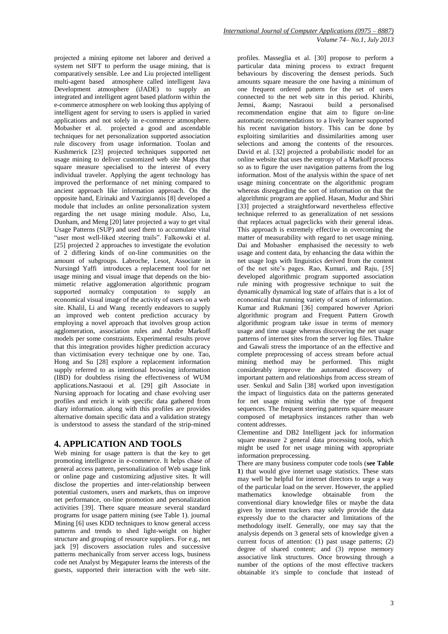projected a mining epitome net laborer and derived a system net SIFT to perform the usage mining, that is comparatively sensible. Lee and Liu projected intelligent multi-agent based atmosphere called intelligent Java Development atmosphere (iJADE) to supply an integrated and intelligent agent based platform within the e-commerce atmosphere on web looking thus applying of intelligent agent for serving to users is applied in varied applications and not solely in e-commerce atmosphere. Mobasher et al. projected a good and ascendable techniques for net personalization supported association rule discovery from usage information. Toolan and Kushmerick [23] projected techniques supported net usage mining to deliver customized web site Maps that square measure specialised to the interest of every individual traveler. Applying the agent technology has improved the performance of net mining compared to ancient approach like information approach. On the opposite hand, Eirinaki and Vazirgiannis [8] developed a module that includes an online personalization system regarding the net usage mining module. Also, Lu, Dunham, and Meng [20] later projected a way to get vital Usage Patterns (SUP) and used them to accumulate vital "user most well-liked steering trails". Falkowski et al. [25] projected 2 approaches to investigate the evolution of 2 differing kinds of on-line communities on the amount of subgroups. Labroche, Lesot, Associate in Nursingd Yaffi introduces a replacement tool for net usage mining and visual image that depends on the biomimetic relative agglomeration algorithmic program supported normalcy computation to supply an economical visual image of the activity of users on a web site. Khalil, Li and Wang recently endeavors to supply an improved web content prediction accuracy by employing a novel approach that involves group action agglomeration, association rules and Andre Markoff models per some constraints. Experimental results prove that this integration provides higher prediction accuracy than victimisation every technique one by one. Tao, Hong and Su [28] explore a replacement information supply referred to as intentional browsing information (IBD) for doubtless rising the effectiveness of WUM applications.Nasraoui et al. [29] gift Associate in Nursing approach for locating and chase evolving user profiles and enrich it with specific data gathered from diary information. along with this profiles are provides alternative domain specific data and a validation strategy is understood to assess the standard of the strip-mined

### **4. APPLICATION AND TOOLS**

Web mining for usage pattern is that the key to get promoting intelligence in e-commerce. It helps chase of general access pattern, personalization of Web usage link or online page and customizing adjustive sites. It will disclose the properties and inter-relationship between potential customers, users and markets, thus on improve net performance, on-line promotion and personalization activities [39]. There square measure several standard programs for usage pattern mining (see Table 1). journal Mining [6] uses KDD techniques to know general access patterns and trends to shed light-weight on higher structure and grouping of resource suppliers. For e.g., net jack [9] discovers association rules and successive patterns mechanically from server access logs, business code net Analyst by Megaputer learns the interests of the guests, supported their interaction with the web site.

profiles. Masseglia et al. [30] propose to perform a particular data mining process to extract frequent behaviours by discovering the densest periods. Such amounts square measure the one having a minimum of one frequent ordered pattern for the set of users connected to the net web site in this period. Khiribi, Jemni, & amp; Nasraoui recommendation engine that aim to figure on-line automatic recommendations to a lively learner supported his recent navigation history. This can be done by exploiting similarities and dissimilarities among user selections and among the contents of the resources. David et al. [32] projected a probabilistic model for an online website that uses the entropy of a Markoff process so as to figure the user navigation patterns from the log information. Most of the analysis within the space of net usage mining concentrate on the algorithmic program whereas disregarding the sort of information on that the algorithmic program are applied. Hasan, Mudur and Shiri [33] projected a straightforward nevertheless effective technique referred to as generalization of net sessions that replaces actual pageclicks with their general ideas. This approach is extremely effective in overcoming the matter of measurability with regard to net usage mining. Dai and Mobasher emphasised the necessity to web usage and content data, by enhancing the data within the net usage logs with linguistics derived from the content of the net site's pages. Rao, Kumari, and Raju, [35] developed algorithmic program supported association rule mining with progressive technique to suit the dynamically dynamical log state of affairs that is a lot of economical that running variety of scans of information. Kumar and Rukmani [36] compared however Apriori algorithmic program and Frequent Pattern Growth algorithmic program take issue in terms of memory usage and time usage whereas discovering the net usage patterns of internet sites from the server log files. Thakre and Gawali stress the importance of an the effective and complete preprocessing of access stream before actual mining method may be performed. This might considerably improve the automated discovery of important pattern and relationships from access stream of user. Senkul and Salin [38] worked upon investigation the impact of linguistics data on the patterns generated for net usage mining within the type of frequent sequences. The frequent steering patterns square measure composed of metaphysics instances rather than web content addresses.

Clementine and DB2 Intelligent jack for information square measure 2 general data processing tools, which might be used for net usage mining with appropriate information preprocessing.

There are many business computer code tools (**see Table 1**) that would give internet usage statistics. These stats may well be helpful for internet directors to urge a way of the particular load on the server. However, the applied mathematics knowledge obtainable from the conventional diary knowledge files or maybe the data given by internet trackers may solely provide the data expressly due to the character and limitations of the methodology itself. Generally, one may say that the analysis depends on 3 general sets of knowledge given a current focus of attention: (1) past usage patterns; (2) degree of shared content; and (3) repose memory associative link structures. Once browsing through a number of the options of the most effective trackers obtainable it's simple to conclude that instead of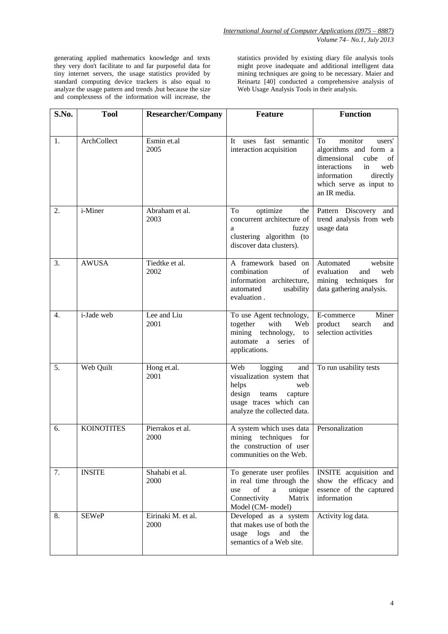generating applied mathematics knowledge and texts they very don't facilitate to and far purposeful data for tiny internet servers, the usage statistics provided by standard computing device trackers is also equal to analyze the usage pattern and trends ,but because the size and complexness of the information will increase, the statistics provided by existing diary file analysis tools might prove inadequate and additional intelligent data mining techniques are going to be necessary. Maier and Reinartz [40] conducted a comprehensive analysis of Web Usage Analysis Tools in their analysis.

| S.No. | <b>Tool</b>       | <b>Researcher/Company</b>  | <b>Feature</b>                                                                                                                                            | <b>Function</b>                                                                                                                                                                  |
|-------|-------------------|----------------------------|-----------------------------------------------------------------------------------------------------------------------------------------------------------|----------------------------------------------------------------------------------------------------------------------------------------------------------------------------------|
|       |                   |                            |                                                                                                                                                           |                                                                                                                                                                                  |
| 1.    | ArchCollect       | Esmin et.al<br>2005        | fast<br>semantic<br>uses<br>It<br>interaction acquisition                                                                                                 | monitor<br>To<br>users'<br>algorithms and form a<br>dimensional<br>cube<br>οf<br>interactions<br>in<br>web<br>information<br>directly<br>which serve as input to<br>an IR media. |
| 2.    | i-Miner           | Abraham et al.<br>2003     | To<br>optimize<br>the<br>concurrent architecture of<br>fuzzy<br>a<br>clustering algorithm (to<br>discover data clusters).                                 | Pattern Discovery and<br>trend analysis from web<br>usage data                                                                                                                   |
| 3.    | <b>AWUSA</b>      | Tiedtke et al.<br>2002     | A framework based on<br>combination<br>of<br>information architecture,<br>automated<br>usability<br>evaluation.                                           | Automated<br>website<br>evaluation<br>and<br>web<br>mining techniques for<br>data gathering analysis.                                                                            |
| 4.    | i-Jade web        | Lee and Liu<br>2001        | To use Agent technology,<br>with<br>together<br>Web<br>mining<br>technology,<br>to<br>automate a<br>series<br>of<br>applications.                         | Miner<br>E-commerce<br>product<br>search<br>and<br>selection activities                                                                                                          |
| 5.    | Web Quilt         | Hong et.al.<br>2001        | Web<br>logging<br>and<br>visualization system that<br>web<br>helps<br>design<br>teams<br>capture<br>usage traces which can<br>analyze the collected data. | To run usability tests                                                                                                                                                           |
| 6.    | <b>KOINOTITES</b> | Pierrakos et al.<br>2000   | A system which uses data<br>mining techniques<br>for<br>the construction of user<br>communities on the Web.                                               | Personalization                                                                                                                                                                  |
| 7.    | <b>INSITE</b>     | Shahabi et al.<br>2000     | To generate user profiles<br>in real time through the<br>unique<br>use<br>οf<br>a<br>Connectivity<br>Matrix<br>Model (CM- model)                          | INSITE acquisition and<br>show the efficacy and<br>essence of the captured<br>information                                                                                        |
| 8.    | <b>SEWeP</b>      | Eirinaki M. et al.<br>2000 | Developed as a system<br>that makes use of both the<br>log s<br>and<br>the<br>usage<br>semantics of a Web site.                                           | Activity log data.                                                                                                                                                               |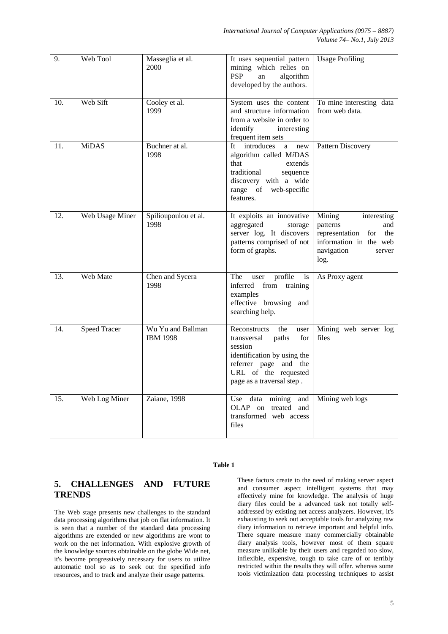*Volume 74– No.1, July 2013*

| 9.  | Web Tool            | Masseglia et al.<br>2000             | It uses sequential pattern<br>mining which relies on<br><b>PSP</b><br>algorithm<br>an<br>developed by the authors.                                                                 | <b>Usage Profiling</b>                                                                                                             |
|-----|---------------------|--------------------------------------|------------------------------------------------------------------------------------------------------------------------------------------------------------------------------------|------------------------------------------------------------------------------------------------------------------------------------|
| 10. | Web Sift            | Cooley et al.<br>1999                | System uses the content<br>and structure information<br>from a website in order to<br>identify<br>interesting<br>frequent item sets                                                | To mine interesting data<br>from web data.                                                                                         |
| 11. | <b>MiDAS</b>        | Buchner at al.<br>1998               | introduces<br>It<br>a new<br>algorithm called MiDAS<br>that<br>extends<br>traditional<br>sequence<br>discovery with a wide<br>range of web-specific<br>features.                   | <b>Pattern Discovery</b>                                                                                                           |
| 12. | Web Usage Miner     | Spilioupoulou et al.<br>1998         | It exploits an innovative<br>aggregated<br>storage<br>server log. It discovers<br>patterns comprised of not<br>form of graphs.                                                     | Mining<br>interesting<br>patterns<br>and<br>representation<br>for<br>the<br>information in the web<br>navigation<br>server<br>log. |
| 13. | Web Mate            | Chen and Sycera<br>1998              | profile<br>The<br><i>is</i><br>user<br>inferred<br>from<br>training<br>examples<br>effective browsing<br>and<br>searching help.                                                    | As Proxy agent                                                                                                                     |
| 14. | <b>Speed Tracer</b> | Wu Yu and Ballman<br><b>IBM 1998</b> | Reconstructs<br>the<br>user<br>transversal<br>paths<br>for<br>session<br>identification by using the<br>referrer page and the<br>URL of the requested<br>page as a traversal step. | Mining web server log<br>files                                                                                                     |
| 15. | Web Log Miner       | Zaiane, 1998                         | Use data mining<br>and<br>OLAP on treated and<br>transformed web access<br>files                                                                                                   | Mining web logs                                                                                                                    |

#### **Table 1**

## **5. CHALLENGES AND FUTURE TRENDS**

The Web stage presents new challenges to the standard data processing algorithms that job on flat information. It is seen that a number of the standard data processing algorithms are extended or new algorithms are wont to work on the net information. With explosive growth of the knowledge sources obtainable on the globe Wide net, it's become progressively necessary for users to utilize automatic tool so as to seek out the specified info resources, and to track and analyze their usage patterns.

These factors create to the need of making server aspect and consumer aspect intelligent systems that may effectively mine for knowledge. The analysis of huge diary files could be a advanced task not totally selfaddressed by existing net access analyzers. However, it's exhausting to seek out acceptable tools for analyzing raw diary information to retrieve important and helpful info. There square measure many commercially obtainable diary analysis tools, however most of them square measure unlikable by their users and regarded too slow, inflexible, expensive, tough to take care of or terribly restricted within the results they will offer. whereas some tools victimization data processing techniques to assist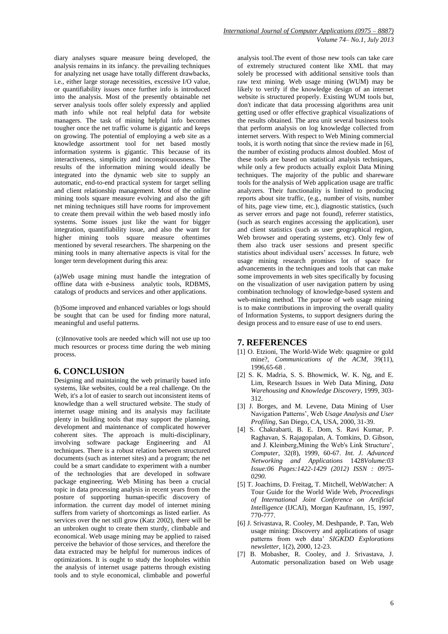diary analyses square measure being developed, the analysis remains in its infancy. the prevailing techniques for analyzing net usage have totally different drawbacks, i.e., either large storage necessities, excessive I/O value, or quantifiability issues once further info is introduced into the analysis. Most of the presently obtainable net server analysis tools offer solely expressly and applied math info while not real helpful data for website managers. The task of mining helpful info becomes tougher once the net traffic volume is gigantic and keeps on growing. The potential of employing a web site as a knowledge assortment tool for net based mostly information systems is gigantic. This because of its interactiveness, simplicity and inconspicuousness. The results of the information mining would ideally be integrated into the dynamic web site to supply an automatic, end-to-end practical system for target selling and client relationship management. Most of the online mining tools square measure evolving and also the gift net mining techniques still have rooms for improvement to create them prevail within the web based mostly info systems. Some issues just like the want for bigger integration, quantifiability issue, and also the want for higher mining tools square measure oftentimes mentioned by several researchers. The sharpening on the mining tools in many alternative aspects is vital for the longer term development during this area:

(a)Web usage mining must handle the integration of offline data with e-business analytic tools, RDBMS, catalogs of products and services and other applications.

(b)Some improved and enhanced variables or logs should be sought that can be used for finding more natural, meaningful and useful patterns.

(c)Innovative tools are needed which will not use up too much resources or process time during the web mining process.

### **6. CONCLUSION**

Designing and maintaining the web primarily based info systems, like websites, could be a real challenge. On the Web, it's a lot of easier to search out inconsistent items of knowledge than a well structured website. The study of internet usage mining and its analysis may facilitate plenty in building tools that may support the planning, development and maintenance of complicated however coherent sites. The approach is multi-disciplinary, involving software package Engineering and AI techniques. There is a robust relation between structured documents (such as internet sites) and a program; the net could be a smart candidate to experiment with a number of the technologies that are developed in software package engineering. Web Mining has been a crucial topic in data processing analysis in recent years from the posture of supporting human-specific discovery of information. the current day model of internet mining suffers from variety of shortcomings as listed earlier. As services over the net still grow (Katz 2002), there will be an unbroken ought to create them sturdy, climbable and economical. Web usage mining may be applied to raised perceive the behavior of those services, and therefore the data extracted may be helpful for numerous indices of optimizations. It is ought to study the loopholes within the analysis of internet usage patterns through existing tools and to style economical, climbable and powerful

analysis tool.The event of those new tools can take care of extremely structured content like XML that may solely be processed with additional sensitive tools than raw text mining. Web usage mining (WUM) may be likely to verify if the knowledge design of an internet website is structured properly. Existing WUM tools but, don't indicate that data processing algorithms area unit getting used or offer effective graphical visualizations of the results obtained. The area unit several business tools that perform analysis on log knowledge collected from internet servers. With respect to Web Mining commercial tools, it is worth noting that since the review made in [6], the number of existing products almost doubled. Most of these tools are based on statistical analysis techniques, while only a few products actually exploit Data Mining techniques. The majority of the public and shareware tools for the analysis of Web application usage are traffic analyzers. Their functionality is limited to producing reports about site traffic, (e.g., number of visits, number of hits, page view time, etc.), diagnostic statistics, (such as server errors and page not found), referrer statistics, (such as search engines accessing the application), user and client statistics (such as user geographical region, Web browser and operating systems, etc). Only few of them also track user sessions and present specific statistics about individual users' accesses. In future, web usage mining research promises lot of space for advancements in the techniques and tools that can make some improvements in web sites specifically by focusing on the visualization of user navigation pattern by using combination technology of knowledge-based system and web-mining method. The purpose of web usage mining is to make contributions in improving the overall quality of Information Systems, to support designers during the design process and to ensure ease of use to end users.

#### **7. REFERENCES**

- [1] O. Etzioni, The World-Wide Web: quagmire or gold mine?, *Communications of the ACM*, 39(11), 1996,65-68 .
- [2] S. K. Madria, S. S. Bhowmick, W. K. Ng, and E. Lim, Research Issues in Web Data Mining, *Data Warehousing and Knowledge Discovery*, 1999, 303- 312.
- [3] J. Borges, and M. Levene, Data Mining of User Navigation Patterns', Web *Usage Analysis and User Profiling*, San Diego, CA, USA, 2000, 31-39.
- [4] S. Chakrabarti, B. E. Dom, S. Ravi Kumar, P. Raghavan, S. Rajagopalan, A. Tomkins, D. Gibson, and J. Kleinberg,Mining the Web's Link Structure', *Computer,* 32(8), 1999, 60-67. *Int. J. Advanced Networking and Applications* 1428*Volume:03 Issue:06 Pages:1422-1429 (2012) ISSN : 0975- 0290.*
- [5] T. Joachims, D. Freitag, T. Mitchell, WebWatcher: A Tour Guide for the World Wide Web, *Proceedings of International Joint Conference on Artificial Intelligence* (IJCAI), Morgan Kaufmann, 15, 1997, 770-777.
- [6] J. Srivastava, R. Cooley, M. Deshpande, P. Tan, Web usage mining: Discovery and applications of usage patterns from web data' *SIGKDD Explorations newsletter,* 1(2), 2000, 12-23.
- [7] B. Mobasher, R. Cooley, and J. Srivastava, J. Automatic personalization based on Web usage